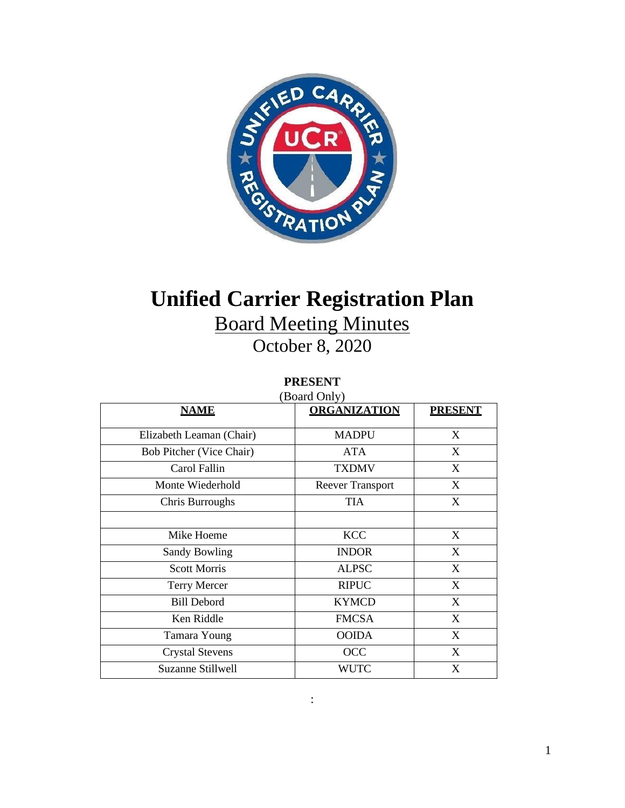

# **Unified Carrier Registration Plan**

# Board Meeting Minutes

October 8, 2020

# **PRESENT**

| (Board Only)                    |                         |                |
|---------------------------------|-------------------------|----------------|
| <b>NAME</b>                     | <b>ORGANIZATION</b>     | <b>PRESENT</b> |
| Elizabeth Leaman (Chair)        | <b>MADPU</b>            | X              |
| <b>Bob Pitcher (Vice Chair)</b> | <b>ATA</b>              | X              |
| Carol Fallin                    | <b>TXDMV</b>            | $\mathbf{X}$   |
| Monte Wiederhold                | <b>Reever Transport</b> | X              |
| Chris Burroughs                 | <b>TIA</b>              | X              |
|                                 |                         |                |
| Mike Hoeme                      | <b>KCC</b>              | X              |
| <b>Sandy Bowling</b>            | <b>INDOR</b>            | X              |
| <b>Scott Morris</b>             | <b>ALPSC</b>            | $\mathbf{X}$   |
| <b>Terry Mercer</b>             | <b>RIPUC</b>            | X              |
| <b>Bill Debord</b>              | <b>KYMCD</b>            | X              |
| Ken Riddle                      | <b>FMCSA</b>            | X              |
| Tamara Young                    | <b>OOIDA</b>            | X              |
| <b>Crystal Stevens</b>          | OCC                     | X              |
| Suzanne Stillwell               | <b>WUTC</b>             | X              |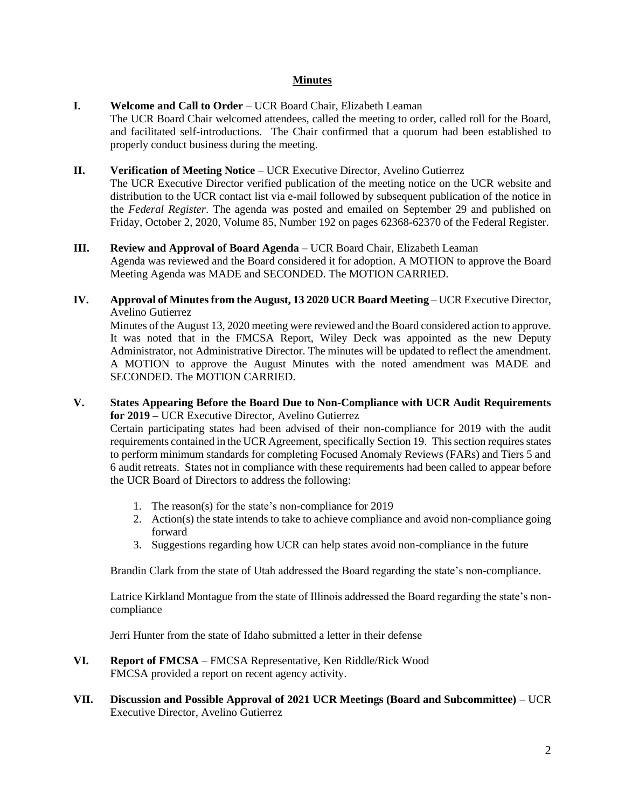# **Minutes**

# **I. Welcome and Call to Order** – UCR Board Chair, Elizabeth Leaman

The UCR Board Chair welcomed attendees, called the meeting to order, called roll for the Board, and facilitated self-introductions. The Chair confirmed that a quorum had been established to properly conduct business during the meeting.

# **II. Verification of Meeting Notice** – UCR Executive Director, Avelino Gutierrez

The UCR Executive Director verified publication of the meeting notice on the UCR website and distribution to the UCR contact list via e-mail followed by subsequent publication of the notice in the *Federal Register*. The agenda was posted and emailed on September 29 and published on Friday, October 2, 2020, Volume 85, Number 192 on pages 62368-62370 of the Federal Register.

# **III. Review and Approval of Board Agenda** – UCR Board Chair, Elizabeth Leaman

Agenda was reviewed and the Board considered it for adoption. A MOTION to approve the Board Meeting Agenda was MADE and SECONDED. The MOTION CARRIED.

**IV. Approval of Minutes from the August, 13 2020 UCR Board Meeting** – UCR Executive Director, Avelino Gutierrez

Minutes of the August 13, 2020 meeting were reviewed and the Board considered action to approve. It was noted that in the FMCSA Report, Wiley Deck was appointed as the new Deputy Administrator, not Administrative Director. The minutes will be updated to reflect the amendment. A MOTION to approve the August Minutes with the noted amendment was MADE and SECONDED. The MOTION CARRIED.

# **V. States Appearing Before the Board Due to Non-Compliance with UCR Audit Requirements for 2019 –** UCR Executive Director, Avelino Gutierrez

Certain participating states had been advised of their non-compliance for 2019 with the audit requirements contained in the UCR Agreement, specifically Section 19. This section requires states to perform minimum standards for completing Focused Anomaly Reviews (FARs) and Tiers 5 and 6 audit retreats. States not in compliance with these requirements had been called to appear before the UCR Board of Directors to address the following:

- 1. The reason(s) for the state's non-compliance for 2019
- 2. Action(s) the state intends to take to achieve compliance and avoid non-compliance going forward
- 3. Suggestions regarding how UCR can help states avoid non-compliance in the future

Brandin Clark from the state of Utah addressed the Board regarding the state's non-compliance.

Latrice Kirkland Montague from the state of Illinois addressed the Board regarding the state's noncompliance

Jerri Hunter from the state of Idaho submitted a letter in their defense

- **VI. Report of FMCSA** FMCSA Representative, Ken Riddle/Rick Wood FMCSA provided a report on recent agency activity.
- **VII. Discussion and Possible Approval of 2021 UCR Meetings (Board and Subcommittee)**  UCR Executive Director, Avelino Gutierrez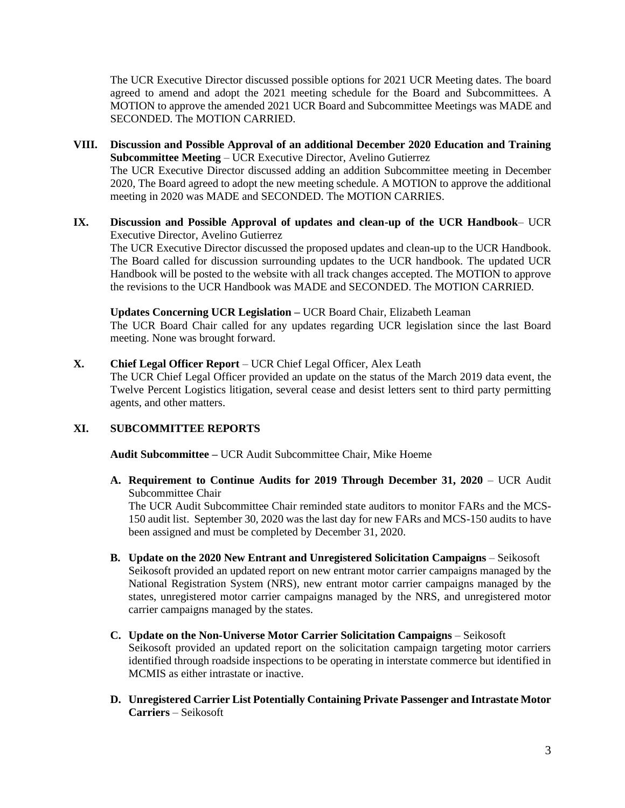The UCR Executive Director discussed possible options for 2021 UCR Meeting dates. The board agreed to amend and adopt the 2021 meeting schedule for the Board and Subcommittees. A MOTION to approve the amended 2021 UCR Board and Subcommittee Meetings was MADE and SECONDED. The MOTION CARRIED.

- **VIII. Discussion and Possible Approval of an additional December 2020 Education and Training Subcommittee Meeting** – UCR Executive Director, Avelino Gutierrez The UCR Executive Director discussed adding an addition Subcommittee meeting in December 2020, The Board agreed to adopt the new meeting schedule. A MOTION to approve the additional meeting in 2020 was MADE and SECONDED. The MOTION CARRIES.
- **IX. Discussion and Possible Approval of updates and clean-up of the UCR Handbook** UCR Executive Director, Avelino Gutierrez

The UCR Executive Director discussed the proposed updates and clean-up to the UCR Handbook. The Board called for discussion surrounding updates to the UCR handbook. The updated UCR Handbook will be posted to the website with all track changes accepted. The MOTION to approve the revisions to the UCR Handbook was MADE and SECONDED. The MOTION CARRIED.

**Updates Concerning UCR Legislation –** UCR Board Chair, Elizabeth Leaman

The UCR Board Chair called for any updates regarding UCR legislation since the last Board meeting. None was brought forward.

**X. Chief Legal Officer Report** – UCR Chief Legal Officer, Alex Leath

The UCR Chief Legal Officer provided an update on the status of the March 2019 data event, the Twelve Percent Logistics litigation, several cease and desist letters sent to third party permitting agents, and other matters.

#### **XI. SUBCOMMITTEE REPORTS**

**Audit Subcommittee –** UCR Audit Subcommittee Chair, Mike Hoeme

**A. Requirement to Continue Audits for 2019 Through December 31, 2020** – UCR Audit Subcommittee Chair

The UCR Audit Subcommittee Chair reminded state auditors to monitor FARs and the MCS-150 audit list. September 30, 2020 was the last day for new FARs and MCS-150 audits to have been assigned and must be completed by December 31, 2020.

- **B. Update on the 2020 New Entrant and Unregistered Solicitation Campaigns**  Seikosoft Seikosoft provided an updated report on new entrant motor carrier campaigns managed by the National Registration System (NRS), new entrant motor carrier campaigns managed by the states, unregistered motor carrier campaigns managed by the NRS, and unregistered motor carrier campaigns managed by the states.
- **C. Update on the Non-Universe Motor Carrier Solicitation Campaigns**  Seikosoft Seikosoft provided an updated report on the solicitation campaign targeting motor carriers identified through roadside inspections to be operating in interstate commerce but identified in MCMIS as either intrastate or inactive.
- **D. Unregistered Carrier List Potentially Containing Private Passenger and Intrastate Motor Carriers** – Seikosoft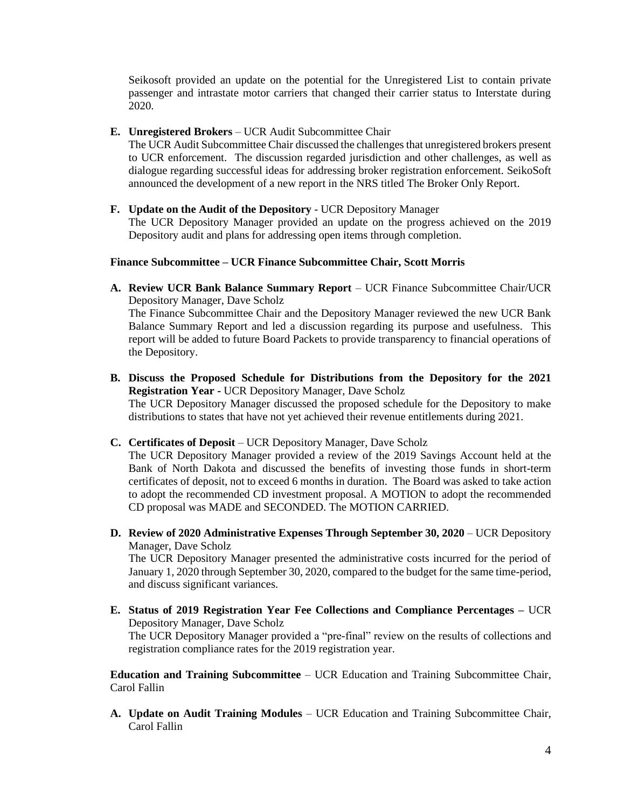Seikosoft provided an update on the potential for the Unregistered List to contain private passenger and intrastate motor carriers that changed their carrier status to Interstate during 2020.

#### **E. Unregistered Brokers** – UCR Audit Subcommittee Chair

The UCR Audit Subcommittee Chair discussed the challenges that unregistered brokers present to UCR enforcement. The discussion regarded jurisdiction and other challenges, as well as dialogue regarding successful ideas for addressing broker registration enforcement. SeikoSoft announced the development of a new report in the NRS titled The Broker Only Report.

**F. Update on the Audit of the Depository** - UCR Depository Manager The UCR Depository Manager provided an update on the progress achieved on the 2019 Depository audit and plans for addressing open items through completion.

#### **Finance Subcommittee – UCR Finance Subcommittee Chair, Scott Morris**

**A. Review UCR Bank Balance Summary Report** – UCR Finance Subcommittee Chair/UCR Depository Manager, Dave Scholz

The Finance Subcommittee Chair and the Depository Manager reviewed the new UCR Bank Balance Summary Report and led a discussion regarding its purpose and usefulness. This report will be added to future Board Packets to provide transparency to financial operations of the Depository.

**B. Discuss the Proposed Schedule for Distributions from the Depository for the 2021 Registration Year -** UCR Depository Manager, Dave Scholz The UCR Depository Manager discussed the proposed schedule for the Depository to make distributions to states that have not yet achieved their revenue entitlements during 2021.

# **C. Certificates of Deposit** – UCR Depository Manager, Dave Scholz

The UCR Depository Manager provided a review of the 2019 Savings Account held at the Bank of North Dakota and discussed the benefits of investing those funds in short-term certificates of deposit, not to exceed 6 months in duration. The Board was asked to take action to adopt the recommended CD investment proposal. A MOTION to adopt the recommended CD proposal was MADE and SECONDED. The MOTION CARRIED.

**D. Review of 2020 Administrative Expenses Through September 30, 2020** – UCR Depository Manager, Dave Scholz

The UCR Depository Manager presented the administrative costs incurred for the period of January 1, 2020 through September 30, 2020, compared to the budget for the same time-period, and discuss significant variances.

**E. Status of 2019 Registration Year Fee Collections and Compliance Percentages –** UCR Depository Manager, Dave Scholz The UCR Depository Manager provided a "pre-final" review on the results of collections and registration compliance rates for the 2019 registration year.

**Education and Training Subcommittee** – UCR Education and Training Subcommittee Chair, Carol Fallin

**A. Update on Audit Training Modules** – UCR Education and Training Subcommittee Chair, Carol Fallin